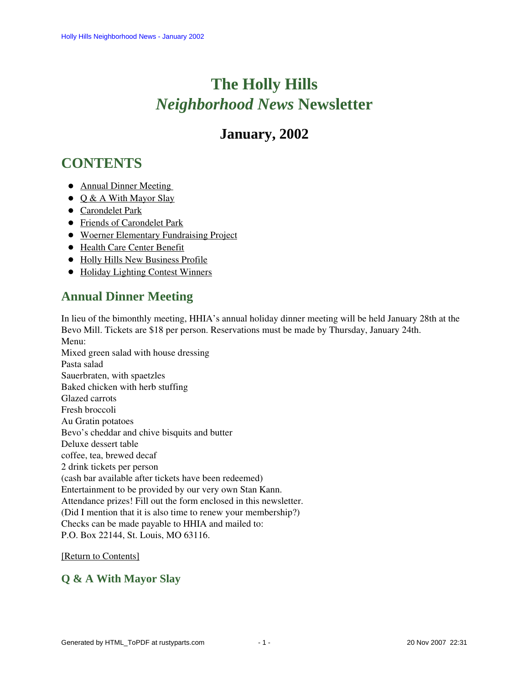# **The Holly Hills**  *Neighborhood News* **Newsletter**

# **January, 2002**

# <span id="page-0-2"></span>**CONTENTS**

- Annual Dinner Meeting
- $\odot$  [Q & A With Mayor Slay](#page-0-1)
- [Carondelet Park](#page-2-0)
- [Friends of Carondelet Park](#page-2-1)
- [Woerner Elementary Fundraising Project](#page-2-2)
- [Health Care Center Benefit](#page-2-3)
- [Holly Hills New Business Profile](#page-3-0)
- [Holiday Lighting Contest Winners](#page-3-1)

# <span id="page-0-0"></span>**Annual Dinner Meeting**

In lieu of the bimonthly meeting, HHIA's annual holiday dinner meeting will be held January 28th at the Bevo Mill. Tickets are \$18 per person. Reservations must be made by Thursday, January 24th. Menu:

Mixed green salad with house dressing Pasta salad Sauerbraten, with spaetzles Baked chicken with herb stuffing Glazed carrots Fresh broccoli Au Gratin potatoes Bevo's cheddar and chive bisquits and butter Deluxe dessert table coffee, tea, brewed decaf 2 drink tickets per person (cash bar available after tickets have been redeemed) Entertainment to be provided by our very own Stan Kann. Attendance prizes! Fill out the form enclosed in this newsletter. (Did I mention that it is also time to renew your membership?) Checks can be made payable to HHIA and mailed to: P.O. Box 22144, St. Louis, MO 63116.

#### [\[Return to Contents\]](#page-0-2)

## <span id="page-0-1"></span>**Q & A With Mayor Slay**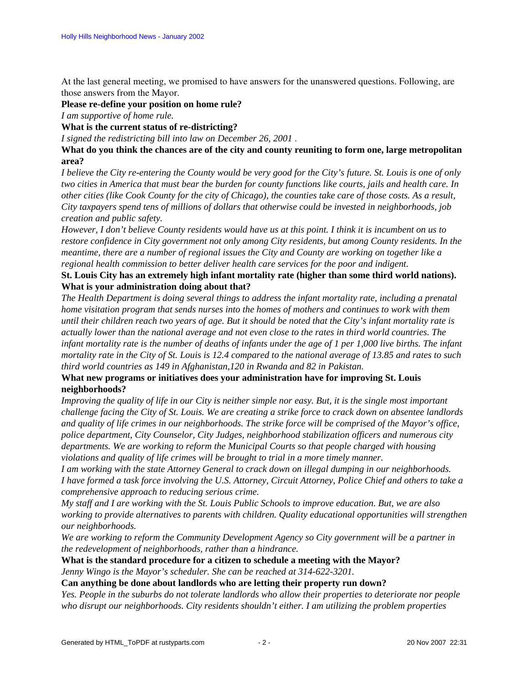At the last general meeting, we promised to have answers for the unanswered questions. Following, are those answers from the Mayor.

**Please re-define your position on home rule?**

*I am supportive of home rule.*

**What is the current status of re-districting?**

*I signed the redistricting bill into law on December 26, 2001* .

**What do you think the chances are of the city and county reuniting to form one, large metropolitan area?**

*I believe the City re-entering the County would be very good for the City's future. St. Louis is one of only two cities in America that must bear the burden for county functions like courts, jails and health care. In other cities (like Cook County for the city of Chicago), the counties take care of those costs. As a result, City taxpayers spend tens of millions of dollars that otherwise could be invested in neighborhoods, job creation and public safety.*

*However, I don't believe County residents would have us at this point. I think it is incumbent on us to restore confidence in City government not only among City residents, but among County residents. In the meantime, there are a number of regional issues the City and County are working on together like a regional health commission to better deliver health care services for the poor and indigent.*

#### **St. Louis City has an extremely high infant mortality rate (higher than some third world nations). What is your administration doing about that?**

*The Health Department is doing several things to address the infant mortality rate, including a prenatal home visitation program that sends nurses into the homes of mothers and continues to work with them until their children reach two years of age. But it should be noted that the City's infant mortality rate is actually lower than the national average and not even close to the rates in third world countries. The infant mortality rate is the number of deaths of infants under the age of 1 per 1,000 live births. The infant mortality rate in the City of St. Louis is 12.4 compared to the national average of 13.85 and rates to such third world countries as 149 in Afghanistan,120 in Rwanda and 82 in Pakistan.*

#### **What new programs or initiatives does your administration have for improving St. Louis neighborhoods?**

*Improving the quality of life in our City is neither simple nor easy. But, it is the single most important challenge facing the City of St. Louis. We are creating a strike force to crack down on absentee landlords and quality of life crimes in our neighborhoods. The strike force will be comprised of the Mayor's office, police department, City Counselor, City Judges, neighborhood stabilization officers and numerous city departments. We are working to reform the Municipal Courts so that people charged with housing violations and quality of life crimes will be brought to trial in a more timely manner.*

*I am working with the state Attorney General to crack down on illegal dumping in our neighborhoods. I have formed a task force involving the U.S. Attorney, Circuit Attorney, Police Chief and others to take a comprehensive approach to reducing serious crime.*

*My staff and I are working with the St. Louis Public Schools to improve education. But, we are also working to provide alternatives to parents with children. Quality educational opportunities will strengthen our neighborhoods.*

*We are working to reform the Community Development Agency so City government will be a partner in the redevelopment of neighborhoods, rather than a hindrance.*

#### **What is the standard procedure for a citizen to schedule a meeting with the Mayor?** *Jenny Wingo is the Mayor's scheduler. She can be reached at 314-622-3201.*

**Can anything be done about landlords who are letting their property run down?**

*Yes. People in the suburbs do not tolerate landlords who allow their properties to deteriorate nor people who disrupt our neighborhoods. City residents shouldn't either. I am utilizing the problem properties*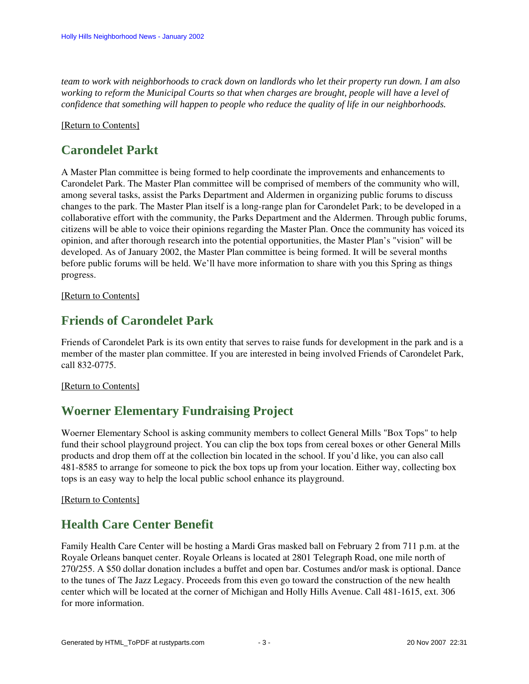*team to work with neighborhoods to crack down on landlords who let their property run down. I am also working to reform the Municipal Courts so that when charges are brought, people will have a level of confidence that something will happen to people who reduce the quality of life in our neighborhoods.*

#### <span id="page-2-0"></span>[\[Return to Contents\]](#page-0-2)

# **Carondelet Parkt**

A Master Plan committee is being formed to help coordinate the improvements and enhancements to Carondelet Park. The Master Plan committee will be comprised of members of the community who will, among several tasks, assist the Parks Department and Aldermen in organizing public forums to discuss changes to the park. The Master Plan itself is a long-range plan for Carondelet Park; to be developed in a collaborative effort with the community, the Parks Department and the Aldermen. Through public forums, citizens will be able to voice their opinions regarding the Master Plan. Once the community has voiced its opinion, and after thorough research into the potential opportunities, the Master Plan's "vision" will be developed. As of January 2002, the Master Plan committee is being formed. It will be several months before public forums will be held. We'll have more information to share with you this Spring as things progress.

<span id="page-2-1"></span>[\[Return to Contents\]](#page-0-2)

# **Friends of Carondelet Park**

Friends of Carondelet Park is its own entity that serves to raise funds for development in the park and is a member of the master plan committee. If you are interested in being involved Friends of Carondelet Park, call 832-0775.

#### <span id="page-2-2"></span>[\[Return to Contents\]](#page-0-2)

## **Woerner Elementary Fundraising Project**

Woerner Elementary School is asking community members to collect General Mills "Box Tops" to help fund their school playground project. You can clip the box tops from cereal boxes or other General Mills products and drop them off at the collection bin located in the school. If you'd like, you can also call 481-8585 to arrange for someone to pick the box tops up from your location. Either way, collecting box tops is an easy way to help the local public school enhance its playground.

#### <span id="page-2-3"></span>[\[Return to Contents\]](#page-0-2)

# **Health Care Center Benefit**

Family Health Care Center will be hosting a Mardi Gras masked ball on February 2 from 711 p.m. at the Royale Orleans banquet center. Royale Orleans is located at 2801 Telegraph Road, one mile north of 270/255. A \$50 dollar donation includes a buffet and open bar. Costumes and/or mask is optional. Dance to the tunes of The Jazz Legacy. Proceeds from this even go toward the construction of the new health center which will be located at the corner of Michigan and Holly Hills Avenue. Call 481-1615, ext. 306 for more information.